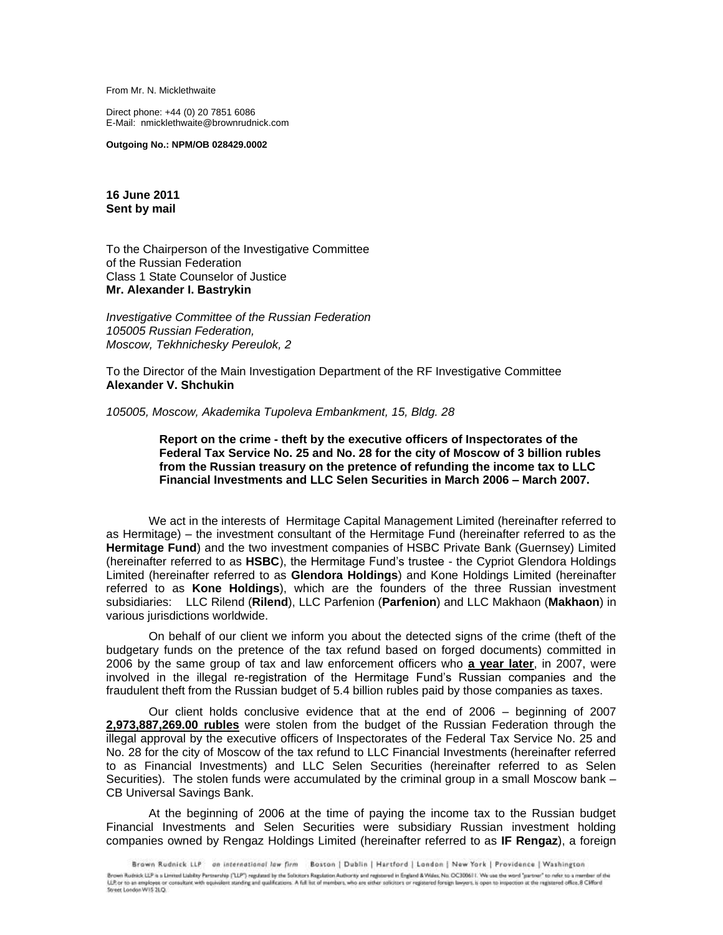From Mr. N. Micklethwaite

Direct phone: +44 (0) 20 7851 6086 E-Mail: nmicklethwaite@brownrudnick.com

**Outgoing No.: NPM/OB 028429.0002**

**16 June 2011 Sent by mail**

To the Chairperson of the Investigative Committee of the Russian Federation Class 1 State Counselor of Justice **Mr. Alexander I. Bastrykin**

*Investigative Committee of the Russian Federation 105005 Russian Federation, Moscow, Tekhnichesky Pereulok, 2*

To the Director of the Main Investigation Department of the RF Investigative Committee **Alexander V. Shchukin**

*105005, Moscow, Akademika Tupoleva Embankment, 15, Bldg. 28*

**Report on the crime - theft by the executive officers of Inspectorates of the Federal Tax Service No. 25 and No. 28 for the city of Moscow of 3 billion rubles from the Russian treasury on the pretence of refunding the income tax to LLC Financial Investments and LLC Selen Securities in March 2006 – March 2007.**

We act in the interests of Hermitage Capital Management Limited (hereinafter referred to as Hermitage) – the investment consultant of the Hermitage Fund (hereinafter referred to as the **Hermitage Fund**) and the two investment companies of HSBC Private Bank (Guernsey) Limited (hereinafter referred to as **HSBC**), the Hermitage Fund's trustee - the Cypriot Glendora Holdings Limited (hereinafter referred to as **Glendora Holdings**) and Kone Holdings Limited (hereinafter referred to as **Kone Holdings**), which are the founders of the three Russian investment subsidiaries: LLC Rilend (**Rilend**), LLC Parfenion (**Parfenion**) and LLC Makhaon (**Makhaon**) in various jurisdictions worldwide.

On behalf of our client we inform you about the detected signs of the crime (theft of the budgetary funds on the pretence of the tax refund based on forged documents) committed in 2006 by the same group of tax and law enforcement officers who **a year later**, in 2007, were involved in the illegal re-registration of the Hermitage Fund's Russian companies and the fraudulent theft from the Russian budget of 5.4 billion rubles paid by those companies as taxes.

Our client holds conclusive evidence that at the end of 2006 – beginning of 2007 **2,973,887,269.00 rubles** were stolen from the budget of the Russian Federation through the illegal approval by the executive officers of Inspectorates of the Federal Tax Service No. 25 and No. 28 for the city of Moscow of the tax refund to LLC Financial Investments (hereinafter referred to as Financial Investments) and LLC Selen Securities (hereinafter referred to as Selen Securities). The stolen funds were accumulated by the criminal group in a small Moscow bank – CB Universal Savings Bank.

At the beginning of 2006 at the time of paying the income tax to the Russian budget Financial Investments and Selen Securities were subsidiary Russian investment holding companies owned by Rengaz Holdings Limited (hereinafter referred to as **IF Rengaz**), a foreign

Brown Rudnick LLP on international law firm Boston | Dublin | Hartford | London | New York | Providence | Washington Brown Rudnick LLP – on international law firm – Boston | Dublin | Hartford | London | New York | Providence | Washington<br>Brown Rudnick LLP as Limited Lighty Partnership ("LLP") regulated by the Solicitors Regulates Authori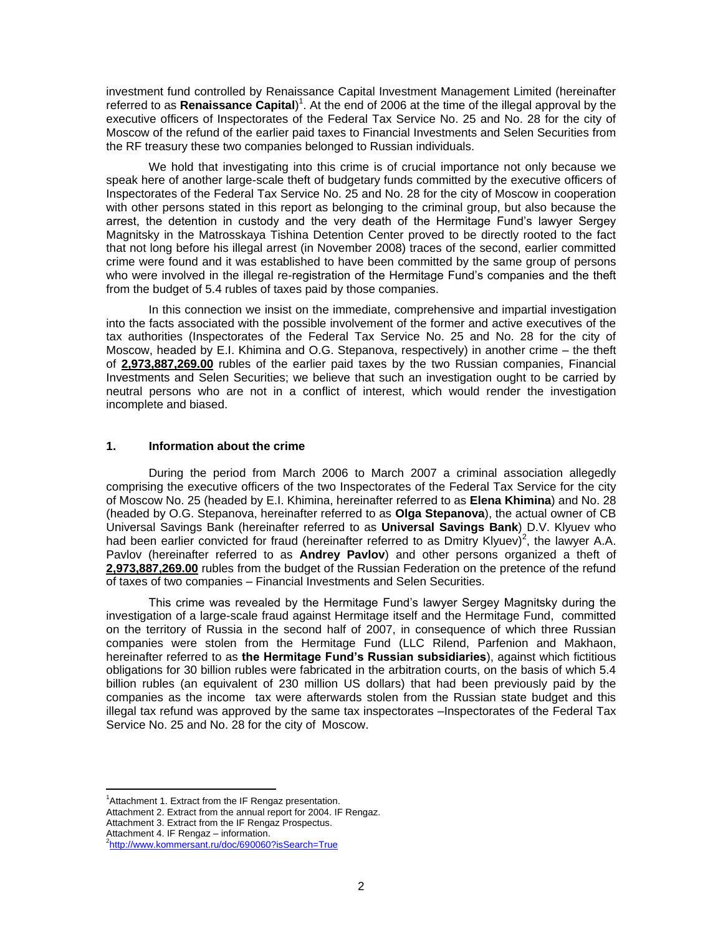investment fund controlled by Renaissance Capital Investment Management Limited (hereinafter referred to as **Renaissance Capital**)<sup>1</sup>. At the end of 2006 at the time of the illegal approval by the executive officers of Inspectorates of the Federal Tax Service No. 25 and No. 28 for the city of Moscow of the refund of the earlier paid taxes to Financial Investments and Selen Securities from the RF treasury these two companies belonged to Russian individuals.

We hold that investigating into this crime is of crucial importance not only because we speak here of another large-scale theft of budgetary funds committed by the executive officers of Inspectorates of the Federal Tax Service No. 25 and No. 28 for the city of Moscow in cooperation with other persons stated in this report as belonging to the criminal group, but also because the arrest, the detention in custody and the very death of the Hermitage Fund's lawyer Sergey Magnitsky in the Matrosskaya Tishina Detention Center proved to be directly rooted to the fact that not long before his illegal arrest (in November 2008) traces of the second, earlier committed crime were found and it was established to have been committed by the same group of persons who were involved in the illegal re-registration of the Hermitage Fund's companies and the theft from the budget of 5.4 rubles of taxes paid by those companies.

In this connection we insist on the immediate, comprehensive and impartial investigation into the facts associated with the possible involvement of the former and active executives of the tax authorities (Inspectorates of the Federal Tax Service No. 25 and No. 28 for the city of Moscow, headed by E.I. Khimina and O.G. Stepanova, respectively) in another crime – the theft of **2,973,887,269.00** rubles of the earlier paid taxes by the two Russian companies, Financial Investments and Selen Securities; we believe that such an investigation ought to be carried by neutral persons who are not in a conflict of interest, which would render the investigation incomplete and biased.

#### **1. Information about the crime**

During the period from March 2006 to March 2007 a criminal association allegedly comprising the executive officers of the two Inspectorates of the Federal Tax Service for the city of Moscow No. 25 (headed by E.I. Khimina, hereinafter referred to as **Elena Khimina**) and No. 28 (headed by O.G. Stepanova, hereinafter referred to as **Olga Stepanova**), the actual owner of CB Universal Savings Bank (hereinafter referred to as **Universal Savings Bank**) D.V. Klyuev who had been earlier convicted for fraud (hereinafter referred to as Dmitry Klyuev)<sup>2</sup>, the lawyer A.A. Pavlov (hereinafter referred to as **Andrey Pavlov**) and other persons organized a theft of **2,973,887,269.00** rubles from the budget of the Russian Federation on the pretence of the refund of taxes of two companies – Financial Investments and Selen Securities.

This crime was revealed by the Hermitage Fund's lawyer Sergey Magnitsky during the investigation of a large-scale fraud against Hermitage itself and the Hermitage Fund, committed on the territory of Russia in the second half of 2007, in consequence of which three Russian companies were stolen from the Hermitage Fund (LLC Rilend, Parfenion and Makhaon, hereinafter referred to as **the Hermitage Fund's Russian subsidiaries**), against which fictitious obligations for 30 billion rubles were fabricated in the arbitration courts, on the basis of which 5.4 billion rubles (an equivalent of 230 million US dollars) that had been previously paid by the companies as the income tax were afterwards stolen from the Russian state budget and this illegal tax refund was approved by the same tax inspectorates –Inspectorates of the Federal Tax Service No. 25 and No. 28 for the city of Moscow.

Attachment 4. IF Rengaz – information.

<sup>&</sup>lt;sup>1</sup> Attachment 1. Extract from the IF Rengaz presentation.

Attachment 2. Extract from the annual report for 2004. IF Rengaz.

Attachment 3. Extract from the IF Rengaz Prospectus.

<sup>2</sup> <http://www.kommersant.ru/doc/690060?isSearch=True>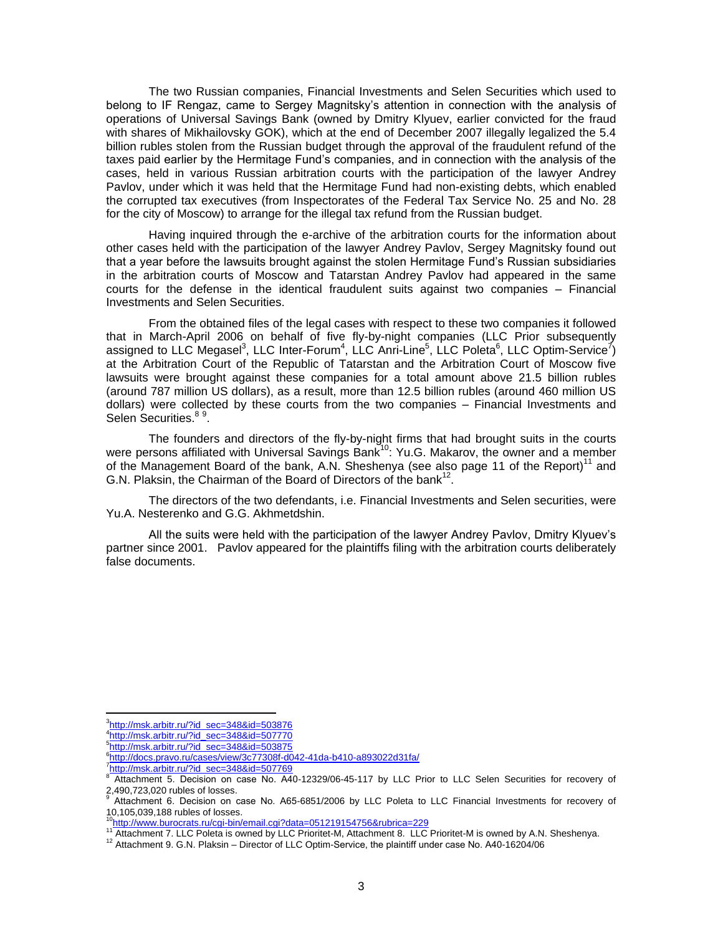The two Russian companies, Financial Investments and Selen Securities which used to belong to IF Rengaz, came to Sergey Magnitsky's attention in connection with the analysis of operations of Universal Savings Bank (owned by Dmitry Klyuev, earlier convicted for the fraud with shares of Mikhailovsky GOK), which at the end of December 2007 illegally legalized the 5.4 billion rubles stolen from the Russian budget through the approval of the fraudulent refund of the taxes paid earlier by the Hermitage Fund's companies, and in connection with the analysis of the cases, held in various Russian arbitration courts with the participation of the lawyer Andrey Pavlov, under which it was held that the Hermitage Fund had non-existing debts, which enabled the corrupted tax executives (from Inspectorates of the Federal Tax Service No. 25 and No. 28 for the city of Moscow) to arrange for the illegal tax refund from the Russian budget.

Having inquired through the e-archive of the arbitration courts for the information about other cases held with the participation of the lawyer Andrey Pavlov, Sergey Magnitsky found out that a year before the lawsuits brought against the stolen Hermitage Fund's Russian subsidiaries in the arbitration courts of Moscow and Tatarstan Andrey Pavlov had appeared in the same courts for the defense in the identical fraudulent suits against two companies – Financial Investments and Selen Securities.

From the obtained files of the legal cases with respect to these two companies it followed that in March-April 2006 on behalf of five fly-by-night companies (LLC Prior subsequently assigned to LLC Megasel<sup>3</sup>, LLC Inter-Forum<sup>4</sup>, LLC Anri-Line<sup>5</sup>, LLC Poleta<sup>6</sup>, LLC Optim-Service<sup>7</sup>) at the Arbitration Court of the Republic of Tatarstan and the Arbitration Court of Moscow five lawsuits were brought against these companies for a total amount above 21.5 billion rubles (around 787 million US dollars), as a result, more than 12.5 billion rubles (around 460 million US dollars) were collected by these courts from the two companies – Financial Investments and Selen Securities.<sup>89</sup>.

The founders and directors of the fly-by-night firms that had brought suits in the courts were persons affiliated with Universal Savings Bank<sup>10</sup>: Yu.G. Makarov, the owner and a member of the Management Board of the bank, A.N. Sheshenya (see also page 11 of the Report)<sup>11</sup> and G.N. Plaksin, the Chairman of the Board of Directors of the bank<sup>12</sup>.

The directors of the two defendants, i.e. Financial Investments and Selen securities, were Yu.A. Nesterenko and G.G. Akhmetdshin.

All the suits were held with the participation of the lawyer Andrey Pavlov, Dmitry Klyuev's partner since 2001. Pavlov appeared for the plaintiffs filing with the arbitration courts deliberately false documents.

<sup>3</sup> [http://msk.arbitr.ru/?id\\_sec=348&id=503876](http://msk.arbitr.ru/?id_sec=348&id=503876)

<sup>4</sup> [http://msk.arbitr.ru/?id\\_sec=348&id=507770](http://msk.arbitr.ru/?id_sec=348&id=507770)

<sup>&</sup>lt;sup>5</sup>[http://msk.arbitr.ru/?id\\_sec=348&id=503875](http://msk.arbitr.ru/?id_sec=348&id=503875)

<sup>6</sup> <http://docs.pravo.ru/cases/view/3c77308f-d042-41da-b410-a893022d31fa/>

<sup>&</sup>lt;sup>7</sup>[http://msk.arbitr.ru/?id\\_sec=348&id=507769](http://msk.arbitr.ru/?id_sec=348&id=507769)<br><sup>8</sup> Attechment E. Desision an agge Ne A4

Attachment 5. Decision on case No. А40-12329/06-45-117 by LLC Prior to LLC Selen Securities for recovery of 2,490,723,020 rubles of losses.

<sup>9</sup> Attachment 6. Decision on case No. А65-6851/2006 by LLC Poleta to LLC Financial Investments for recovery of 10,105,039,188 rubles of losses.<br><sup>10</sup><http://www.burocrats.ru/cgi-bin/email.cgi?data=051219154756&rubrica=229>

<sup>11</sup> Attachment 7. LLC Poleta is owned by LLC Prioritet-M, Attachment 8. LLC Prioritet-M is owned by A.N. Sheshenya.

<sup>&</sup>lt;sup>12</sup> Attachment 9. G.N. Plaksin – Director of LLC Optim-Service, the plaintiff under case No. A40-16204/06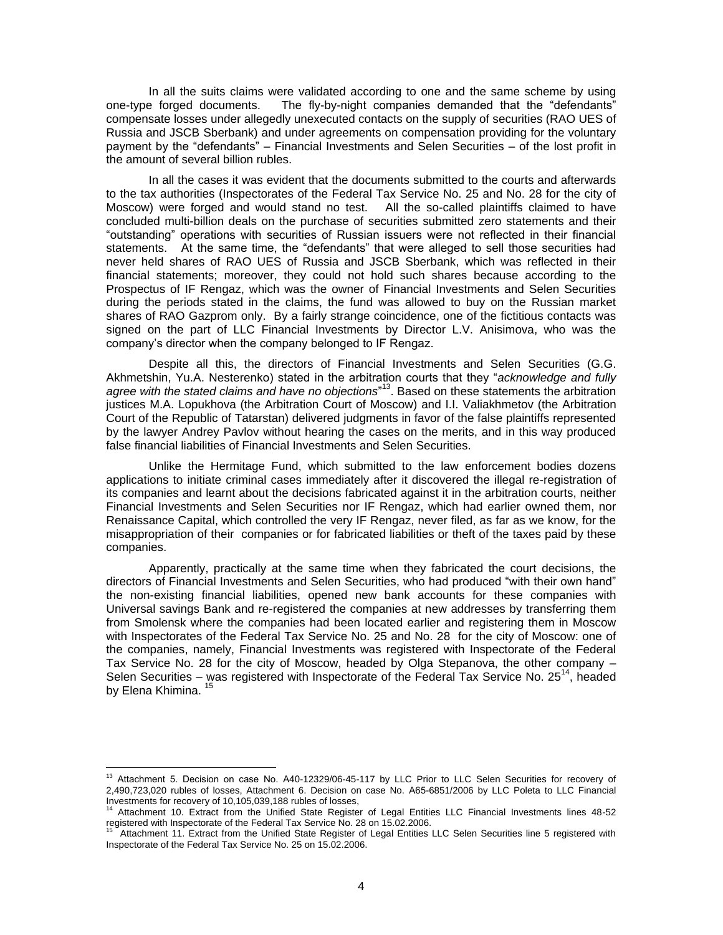In all the suits claims were validated according to one and the same scheme by using one-type forged documents. The fly-by-night companies demanded that the "defendants" compensate losses under allegedly unexecuted contacts on the supply of securities (RAO UES of Russia and JSCB Sberbank) and under agreements on compensation providing for the voluntary payment by the "defendants" – Financial Investments and Selen Securities – of the lost profit in the amount of several billion rubles.

In all the cases it was evident that the documents submitted to the courts and afterwards to the tax authorities (Inspectorates of the Federal Tax Service No. 25 and No. 28 for the city of Moscow) were forged and would stand no test. All the so-called plaintiffs claimed to have concluded multi-billion deals on the purchase of securities submitted zero statements and their "outstanding" operations with securities of Russian issuers were not reflected in their financial statements. At the same time, the "defendants" that were alleged to sell those securities had never held shares of RAO UES of Russia and JSCB Sberbank, which was reflected in their financial statements; moreover, they could not hold such shares because according to the Prospectus of IF Rengaz, which was the owner of Financial Investments and Selen Securities during the periods stated in the claims, the fund was allowed to buy on the Russian market shares of RAO Gazprom only. By a fairly strange coincidence, one of the fictitious contacts was signed on the part of LLC Financial Investments by Director L.V. Anisimova, who was the company's director when the company belonged to IF Rengaz.

Despite all this, the directors of Financial Investments and Selen Securities (G.G. Akhmetshin, Yu.A. Nesterenko) stated in the arbitration courts that they "*acknowledge and fully*  agree with the stated claims and have no objections<sup>"13</sup>. Based on these statements the arbitration justices M.A. Lopukhova (the Arbitration Court of Moscow) and I.I. Valiakhmetov (the Arbitration Court of the Republic of Tatarstan) delivered judgments in favor of the false plaintiffs represented by the lawyer Andrey Pavlov without hearing the cases on the merits, and in this way produced false financial liabilities of Financial Investments and Selen Securities.

Unlike the Hermitage Fund, which submitted to the law enforcement bodies dozens applications to initiate criminal cases immediately after it discovered the illegal re-registration of its companies and learnt about the decisions fabricated against it in the arbitration courts, neither Financial Investments and Selen Securities nor IF Rengaz, which had earlier owned them, nor Renaissance Capital, which controlled the very IF Rengaz, never filed, as far as we know, for the misappropriation of their companies or for fabricated liabilities or theft of the taxes paid by these companies.

Apparently, practically at the same time when they fabricated the court decisions, the directors of Financial Investments and Selen Securities, who had produced "with their own hand" the non-existing financial liabilities, opened new bank accounts for these companies with Universal savings Bank and re-registered the companies at new addresses by transferring them from Smolensk where the companies had been located earlier and registering them in Moscow with Inspectorates of the Federal Tax Service No. 25 and No. 28 for the city of Moscow: one of the companies, namely, Financial Investments was registered with Inspectorate of the Federal Tax Service No. 28 for the city of Moscow, headed by Olga Stepanova, the other company – Selen Securities – was registered with Inspectorate of the Federal Tax Service No.  $25^{14}$ , headed by Elena Khimina. <sup>15</sup>

<sup>&</sup>lt;sup>13</sup> Attachment 5. Decision on case No. A40-12329/06-45-117 by LLC Prior to LLC Selen Securities for recovery of 2,490,723,020 rubles of losses, Attachment 6. Decision on case No. А65-6851/2006 by LLC Poleta to LLC Financial Investments for recovery of 10,105,039,188 rubles of losses,

<sup>14</sup> Attachment 10. Extract from the Unified State Register of Legal Entities LLC Financial Investments lines 48-52 registered with Inspectorate of the Federal Tax Service No. 28 on 15.02.2006.

<sup>15</sup> Attachment 11. Extract from the Unified State Register of Legal Entities LLC Selen Securities line 5 registered with Inspectorate of the Federal Tax Service No. 25 on 15.02.2006.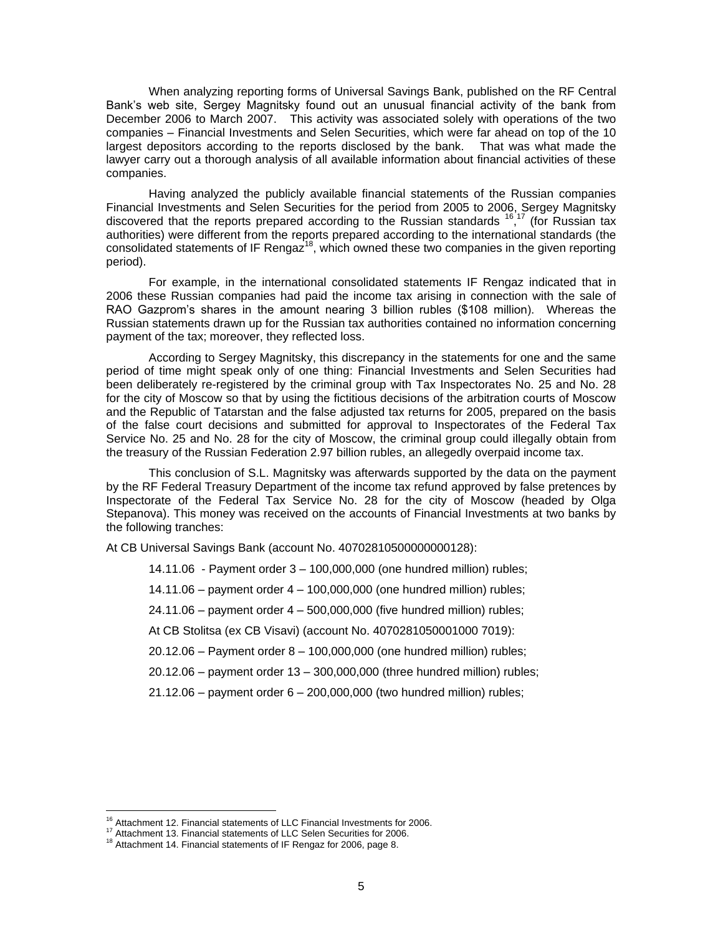When analyzing reporting forms of Universal Savings Bank, published on the RF Central Bank's web site, Sergey Magnitsky found out an unusual financial activity of the bank from December 2006 to March 2007. This activity was associated solely with operations of the two companies – Financial Investments and Selen Securities, which were far ahead on top of the 10 largest depositors according to the reports disclosed by the bank. That was what made the lawyer carry out a thorough analysis of all available information about financial activities of these companies.

Having analyzed the publicly available financial statements of the Russian companies Financial Investments and Selen Securities for the period from 2005 to 2006, Sergey Magnitsky discovered that the reports prepared according to the Russian standards <sup>16,17</sup> (for Russian tax authorities) were different from the reports prepared according to the international standards (the consolidated statements of IF Rengaz<sup>18</sup>, which owned these two companies in the given reporting period).

For example, in the international consolidated statements IF Rengaz indicated that in 2006 these Russian companies had paid the income tax arising in connection with the sale of RAO Gazprom's shares in the amount nearing 3 billion rubles (\$108 million). Whereas the Russian statements drawn up for the Russian tax authorities contained no information concerning payment of the tax; moreover, they reflected loss.

According to Sergey Magnitsky, this discrepancy in the statements for one and the same period of time might speak only of one thing: Financial Investments and Selen Securities had been deliberately re-registered by the criminal group with Tax Inspectorates No. 25 and No. 28 for the city of Moscow so that by using the fictitious decisions of the arbitration courts of Moscow and the Republic of Tatarstan and the false adjusted tax returns for 2005, prepared on the basis of the false court decisions and submitted for approval to Inspectorates of the Federal Tax Service No. 25 and No. 28 for the city of Moscow, the criminal group could illegally obtain from the treasury of the Russian Federation 2.97 billion rubles, an allegedly overpaid income tax.

This conclusion of S.L. Magnitsky was afterwards supported by the data on the payment by the RF Federal Treasury Department of the income tax refund approved by false pretences by Inspectorate of the Federal Tax Service No. 28 for the city of Moscow (headed by Olga Stepanova). This money was received on the accounts of Financial Investments at two banks by the following tranches:

At CB Universal Savings Bank (account No. 40702810500000000128):

14.11.06 - Payment order 3 – 100,000,000 (one hundred million) rubles;

14.11.06 – payment order 4 – 100,000,000 (one hundred million) rubles;

24.11.06 – payment order 4 – 500,000,000 (five hundred million) rubles;

At CB Stolitsa (ex CB Visavi) (account No. 4070281050001000 7019):

20.12.06 – Payment order 8 – 100,000,000 (one hundred million) rubles;

20.12.06 – payment order 13 – 300,000,000 (three hundred million) rubles;

21.12.06 – payment order 6 – 200,000,000 (two hundred million) rubles;

<sup>&</sup>lt;sup>16</sup> Attachment 12. Financial statements of LLC Financial Investments for 2006.

<sup>17</sup> Attachment 13. Financial statements of LLC Selen Securities for 2006.

<sup>18</sup> Attachment 14. Financial statements of IF Rengaz for 2006, page 8.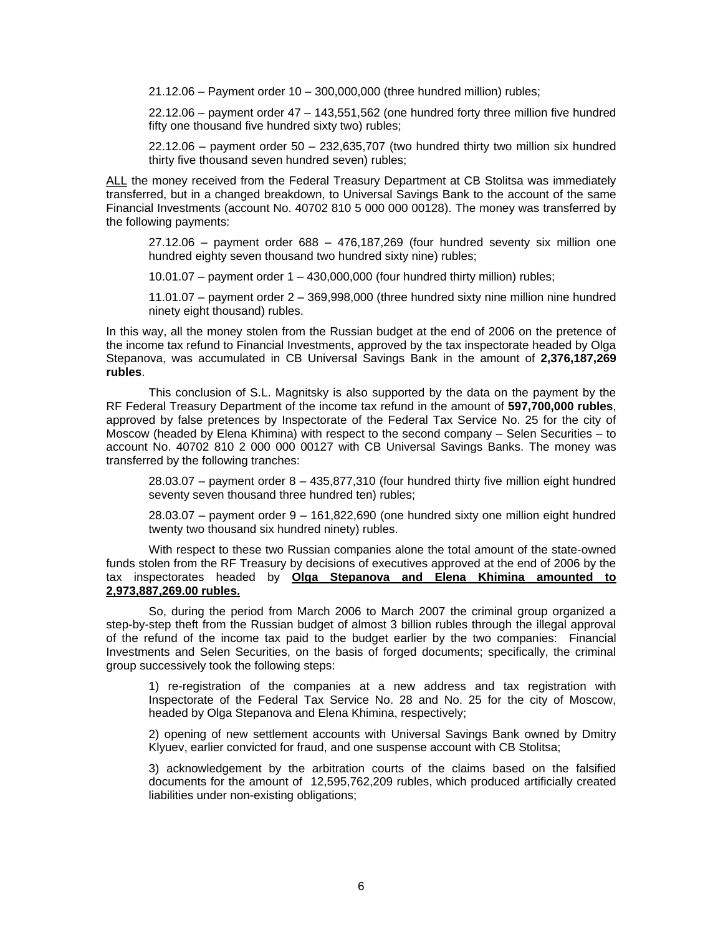21.12.06 – Payment order 10 – 300,000,000 (three hundred million) rubles;

22.12.06 – payment order 47 – 143,551,562 (one hundred forty three million five hundred fifty one thousand five hundred sixty two) rubles;

 $22.12.06$  – payment order  $50 - 232.635,707$  (two hundred thirty two million six hundred thirty five thousand seven hundred seven) rubles;

ALL the money received from the Federal Treasury Department at CB Stolitsa was immediately transferred, but in a changed breakdown, to Universal Savings Bank to the account of the same Financial Investments (account No. 40702 810 5 000 000 00128). The money was transferred by the following payments:

27.12.06 – payment order 688 – 476,187,269 (four hundred seventy six million one hundred eighty seven thousand two hundred sixty nine) rubles;

10.01.07 – payment order 1 – 430,000,000 (four hundred thirty million) rubles;

11.01.07 – payment order 2 – 369,998,000 (three hundred sixty nine million nine hundred ninety eight thousand) rubles.

In this way, all the money stolen from the Russian budget at the end of 2006 on the pretence of the income tax refund to Financial Investments, approved by the tax inspectorate headed by Olga Stepanova, was accumulated in CB Universal Savings Bank in the amount of **2,376,187,269 rubles**.

This conclusion of S.L. Magnitsky is also supported by the data on the payment by the RF Federal Treasury Department of the income tax refund in the amount of **597,700,000 rubles**, approved by false pretences by Inspectorate of the Federal Tax Service No. 25 for the city of Moscow (headed by Elena Khimina) with respect to the second company – Selen Securities – to account No. 40702 810 2 000 000 00127 with CB Universal Savings Banks. The money was transferred by the following tranches:

 $28.03.07$  – payment order  $8 - 435.877.310$  (four hundred thirty five million eight hundred seventy seven thousand three hundred ten) rubles;

28.03.07 – payment order 9 – 161,822,690 (one hundred sixty one million eight hundred twenty two thousand six hundred ninety) rubles.

With respect to these two Russian companies alone the total amount of the state-owned funds stolen from the RF Treasury by decisions of executives approved at the end of 2006 by the tax inspectorates headed by **Olga Stepanova and Elena Khimina amounted to 2,973,887,269.00 rubles.**

So, during the period from March 2006 to March 2007 the criminal group organized a step-by-step theft from the Russian budget of almost 3 billion rubles through the illegal approval of the refund of the income tax paid to the budget earlier by the two companies: Financial Investments and Selen Securities, on the basis of forged documents; specifically, the criminal group successively took the following steps:

1) re-registration of the companies at a new address and tax registration with Inspectorate of the Federal Tax Service No. 28 and No. 25 for the city of Moscow, headed by Olga Stepanova and Elena Khimina, respectively;

2) opening of new settlement accounts with Universal Savings Bank owned by Dmitry Klyuev, earlier convicted for fraud, and one suspense account with CB Stolitsa;

3) acknowledgement by the arbitration courts of the claims based on the falsified documents for the amount of 12,595,762,209 rubles, which produced artificially created liabilities under non-existing obligations;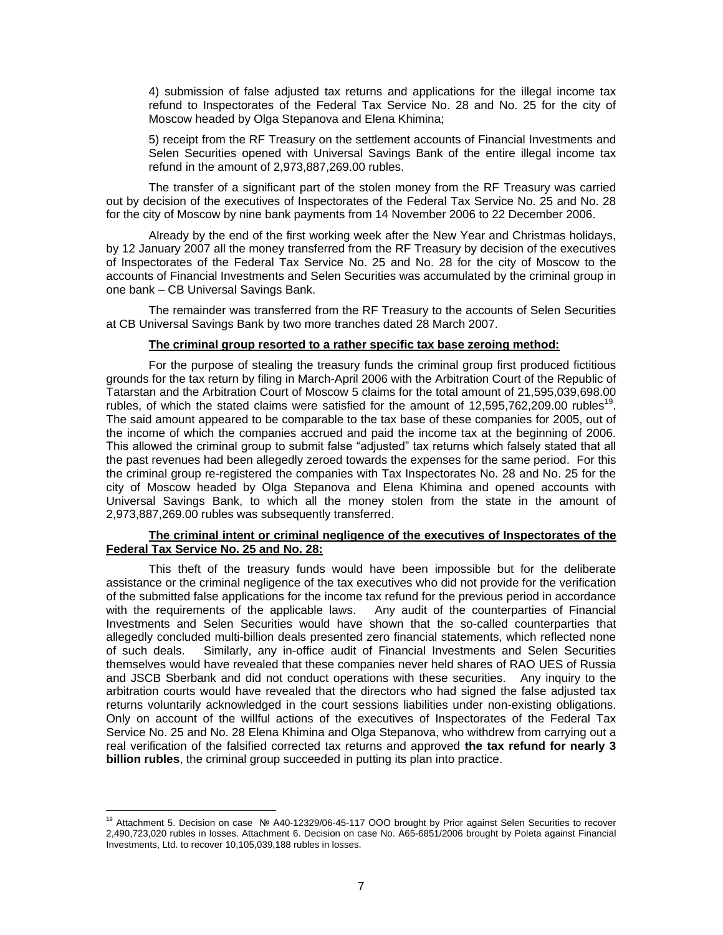4) submission of false adjusted tax returns and applications for the illegal income tax refund to Inspectorates of the Federal Tax Service No. 28 and No. 25 for the city of Moscow headed by Olga Stepanova and Elena Khimina;

5) receipt from the RF Treasury on the settlement accounts of Financial Investments and Selen Securities opened with Universal Savings Bank of the entire illegal income tax refund in the amount of 2,973,887,269.00 rubles.

The transfer of a significant part of the stolen money from the RF Treasury was carried out by decision of the executives of Inspectorates of the Federal Tax Service No. 25 and No. 28 for the city of Moscow by nine bank payments from 14 November 2006 to 22 December 2006.

Already by the end of the first working week after the New Year and Christmas holidays, by 12 January 2007 all the money transferred from the RF Treasury by decision of the executives of Inspectorates of the Federal Tax Service No. 25 and No. 28 for the city of Moscow to the accounts of Financial Investments and Selen Securities was accumulated by the criminal group in one bank – CB Universal Savings Bank.

The remainder was transferred from the RF Treasury to the accounts of Selen Securities at CB Universal Savings Bank by two more tranches dated 28 March 2007.

### **The criminal group resorted to a rather specific tax base zeroing method:**

For the purpose of stealing the treasury funds the criminal group first produced fictitious grounds for the tax return by filing in March-April 2006 with the Arbitration Court of the Republic of Tatarstan and the Arbitration Court of Moscow 5 claims for the total amount of 21,595,039,698.00 rubles, of which the stated claims were satisfied for the amount of  $12,595,762,209.00$  rubles<sup>19</sup>. The said amount appeared to be comparable to the tax base of these companies for 2005, out of the income of which the companies accrued and paid the income tax at the beginning of 2006. This allowed the criminal group to submit false "adjusted" tax returns which falsely stated that all the past revenues had been allegedly zeroed towards the expenses for the same period. For this the criminal group re-registered the companies with Tax Inspectorates No. 28 and No. 25 for the city of Moscow headed by Olga Stepanova and Elena Khimina and opened accounts with Universal Savings Bank, to which all the money stolen from the state in the amount of 2,973,887,269.00 rubles was subsequently transferred.

#### **The criminal intent or criminal negligence of the executives of Inspectorates of the Federal Tax Service No. 25 and No. 28:**

This theft of the treasury funds would have been impossible but for the deliberate assistance or the criminal negligence of the tax executives who did not provide for the verification of the submitted false applications for the income tax refund for the previous period in accordance with the requirements of the applicable laws. Any audit of the counterparties of Financial Investments and Selen Securities would have shown that the so-called counterparties that allegedly concluded multi-billion deals presented zero financial statements, which reflected none of such deals. Similarly, any in-office audit of Financial Investments and Selen Securities themselves would have revealed that these companies never held shares of RAO UES of Russia and JSCB Sberbank and did not conduct operations with these securities. Any inquiry to the arbitration courts would have revealed that the directors who had signed the false adjusted tax returns voluntarily acknowledged in the court sessions liabilities under non-existing obligations. Only on account of the willful actions of the executives of Inspectorates of the Federal Tax Service No. 25 and No. 28 Elena Khimina and Olga Stepanova, who withdrew from carrying out a real verification of the falsified corrected tax returns and approved **the tax refund for nearly 3 billion rubles**, the criminal group succeeded in putting its plan into practice.

<sup>&</sup>lt;sup>19</sup> Attachment 5. Decision on case Nº A40-12329/06-45-117 OOO brought by Prior against Selen Securities to recover 2,490,723,020 rubles in losses. Attachment 6. Decision on case No. А65-6851/2006 brought by Poleta against Financial Investments, Ltd. to recover 10,105,039,188 rubles in losses.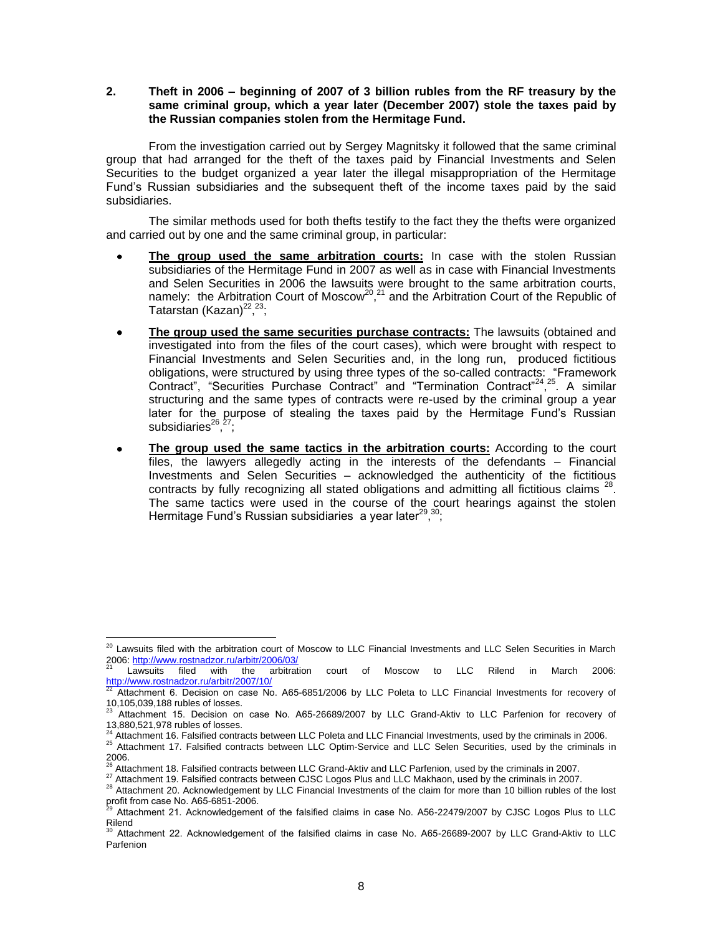# **2. Theft in 2006 – beginning of 2007 of 3 billion rubles from the RF treasury by the same criminal group, which a year later (December 2007) stole the taxes paid by the Russian companies stolen from the Hermitage Fund.**

From the investigation carried out by Sergey Magnitsky it followed that the same criminal group that had arranged for the theft of the taxes paid by Financial Investments and Selen Securities to the budget organized a year later the illegal misappropriation of the Hermitage Fund's Russian subsidiaries and the subsequent theft of the income taxes paid by the said subsidiaries.

The similar methods used for both thefts testify to the fact they the thefts were organized and carried out by one and the same criminal group, in particular:

- **The group used the same arbitration courts:** In case with the stolen Russian subsidiaries of the Hermitage Fund in 2007 as well as in case with Financial Investments and Selen Securities in 2006 the lawsuits were brought to the same arbitration courts, namely: the Arbitration Court of Moscow<sup>20</sup>,<sup>21</sup> and the Arbitration Court of the Republic of Tatarstan (Kazan)<sup>22, 23</sup>;
- **The group used the same securities purchase contracts:** The lawsuits (obtained and  $\bullet$ investigated into from the files of the court cases), which were brought with respect to Financial Investments and Selen Securities and, in the long run, produced fictitious obligations, were structured by using three types of the so-called contracts: "Framework Contract", "Securities Purchase Contract" and "Termination Contract<sup>"24</sup>,<sup>25</sup>. A similar structuring and the same types of contracts were re-used by the criminal group a year later for the purpose of stealing the taxes paid by the Hermitage Fund's Russian subsidiaries<sup>26</sup>,<sup>27</sup>;
- **The group used the same tactics in the arbitration courts:** According to the court files, the lawyers allegedly acting in the interests of the defendants – Financial Investments and Selen Securities – acknowledged the authenticity of the fictitious contracts by fully recognizing all stated obligations and admitting all fictitious claims  $^{28}$ . The same tactics were used in the course of the court hearings against the stolen Hermitage Fund's Russian subsidiaries a year later<sup>29</sup>,<sup>30</sup>;

 $^{20}$  Lawsuits filed with the arbitration court of Moscow to LLC Financial Investments and LLC Selen Securities in March 2006:<http://www.rostnadzor.ru/arbitr/2006/03/>

<sup>21</sup> Lawsuits filed with the arbitration court of Moscow to LLC Rilend in March 2006:

<http://www.rostnadzor.ru/arbitr/2007/10/><br><sup>22</sup> Attachment 6. Decision on case No. A65-6851/2006 by LLC Poleta to LLC Financial Investments for recovery of 10,105,039,188 rubles of losses.

<sup>23</sup> Attachment 15. Decision on case No. А65-26689/2007 by LLC Grand-Aktiv to LLC Parfenion for recovery of 13,880,521,978 rubles of losses.

<sup>&</sup>lt;sup>4</sup> Attachment 16. Falsified contracts between LLC Poleta and LLC Financial Investments, used by the criminals in 2006.

<sup>25</sup> Attachment 17. Falsified contracts between LLC Optim-Service and LLC Selen Securities, used by the criminals in 2006.<br><sup>26</sup> Attachment 18. Falsified contracts between LLC Grand-Aktiv and LLC Parfenion, used by the criminals in 2007.

<sup>27</sup> Attachment 19. Falsified contracts between CJSC Logos Plus and LLC Makhaon, used by the criminals in 2007.

<sup>28</sup> Attachment 20. Acknowledgement by LLC Financial Investments of the claim for more than 10 billion rubles of the lost profit from case No. А65-6851-2006.

Attachment 21. Acknowledgement of the falsified claims in case No. A56-22479/2007 by CJSC Logos Plus to LLC Rilend

 $30$  Attachment 22. Acknowledgement of the falsified claims in case No. A65-26689-2007 by LLC Grand-Aktiv to LLC Parfenion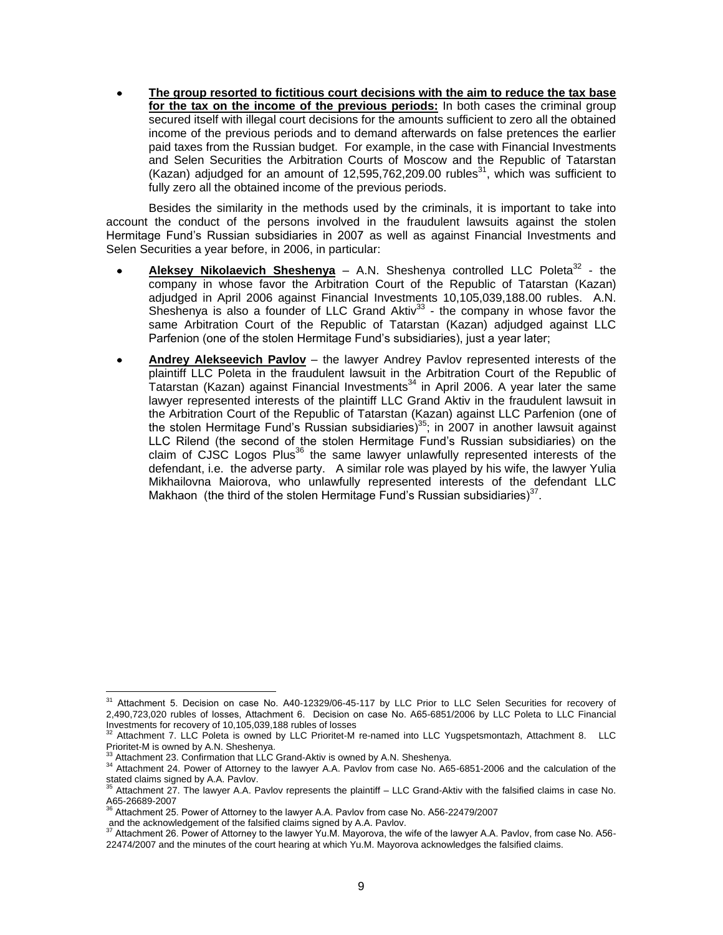**The group resorted to fictitious court decisions with the aim to reduce the tax base for the tax on the income of the previous periods:** In both cases the criminal group secured itself with illegal court decisions for the amounts sufficient to zero all the obtained income of the previous periods and to demand afterwards on false pretences the earlier paid taxes from the Russian budget. For example, in the case with Financial Investments and Selen Securities the Arbitration Courts of Moscow and the Republic of Tatarstan (Kazan) adjudged for an amount of  $12,595,762,209.00$  rubles $^{31}$ , which was sufficient to fully zero all the obtained income of the previous periods.

Besides the similarity in the methods used by the criminals, it is important to take into account the conduct of the persons involved in the fraudulent lawsuits against the stolen Hermitage Fund's Russian subsidiaries in 2007 as well as against Financial Investments and Selen Securities a year before, in 2006, in particular:

- Aleksey Nikolaevich Sheshenya A.N. Sheshenya controlled LLC Poleta<sup>32</sup> the company in whose favor the Arbitration Court of the Republic of Tatarstan (Kazan) adjudged in April 2006 against Financial Investments 10,105,039,188.00 rubles. A.N. Sheshenya is also a founder of LLC Grand Aktiv $33$  - the company in whose favor the same Arbitration Court of the Republic of Tatarstan (Kazan) adjudged against LLC Parfenion (one of the stolen Hermitage Fund's subsidiaries), just a year later;
- **Andrey Alekseevich Pavlov** the lawyer Andrey Pavlov represented interests of the plaintiff LLC Poleta in the fraudulent lawsuit in the Arbitration Court of the Republic of Tatarstan (Kazan) against Financial Investments<sup>34</sup> in April 2006. A year later the same lawyer represented interests of the plaintiff LLC Grand Aktiv in the fraudulent lawsuit in the Arbitration Court of the Republic of Tatarstan (Kazan) against LLC Parfenion (one of the stolen Hermitage Fund's Russian subsidiaries)<sup>35</sup>; in 2007 in another lawsuit against LLC Rilend (the second of the stolen Hermitage Fund's Russian subsidiaries) on the claim of CJSC Logos Plus<sup>36</sup> the same lawyer unlawfully represented interests of the defendant, i.e. the adverse party. A similar role was played by his wife, the lawyer Yulia Mikhailovna Maiorova, who unlawfully represented interests of the defendant LLC Makhaon (the third of the stolen Hermitage Fund's Russian subsidiaries) $37$ .

 $\overline{a}$ <sup>31</sup> Attachment 5. Decision on case No. A40-12329/06-45-117 by LLC Prior to LLC Selen Securities for recovery of 2,490,723,020 rubles of losses, Attachment 6. Decision on case No. А65-6851/2006 by LLC Poleta to LLC Financial Investments for recovery of 10,105,039,188 rubles of losses

<sup>32</sup> Attachment 7. LLC Poleta is owned by LLC Prioritet-M re-named into LLC Yugspetsmontazh, Attachment 8. LLC Prioritet-M is owned by A.N. Sheshenya.

<sup>&</sup>lt;sup>33</sup> Attachment 23. Confirmation that LLC Grand-Aktiv is owned by A.N. Sheshenya.

<sup>&</sup>lt;sup>34</sup> Attachment 24. Power of Attorney to the lawyer A.A. Pavlov from case No. A65-6851-2006 and the calculation of the

stated claims signed by A.A. Pavlov.<br><sup>35</sup> Attachment 27. The lawyer A.A. Pavlov represents the plaintiff – LLC Grand-Aktiv with the falsified claims in case No. A65-26689-2007

<sup>36</sup> Attachment 25. Power of Attorney to the lawyer A.A. Pavlov from case No. А56-22479/2007

and the acknowledgement of the falsified claims signed by A.A. Pavlov.<br><sup>37</sup> Attachment 26. Power of Attorney to the lawyer Yu.M. Mayorova, the wife of the lawyer A.A. Pavlov, from case No. A56-22474/2007 and the minutes of the court hearing at which Yu.M. Mayorova acknowledges the falsified claims.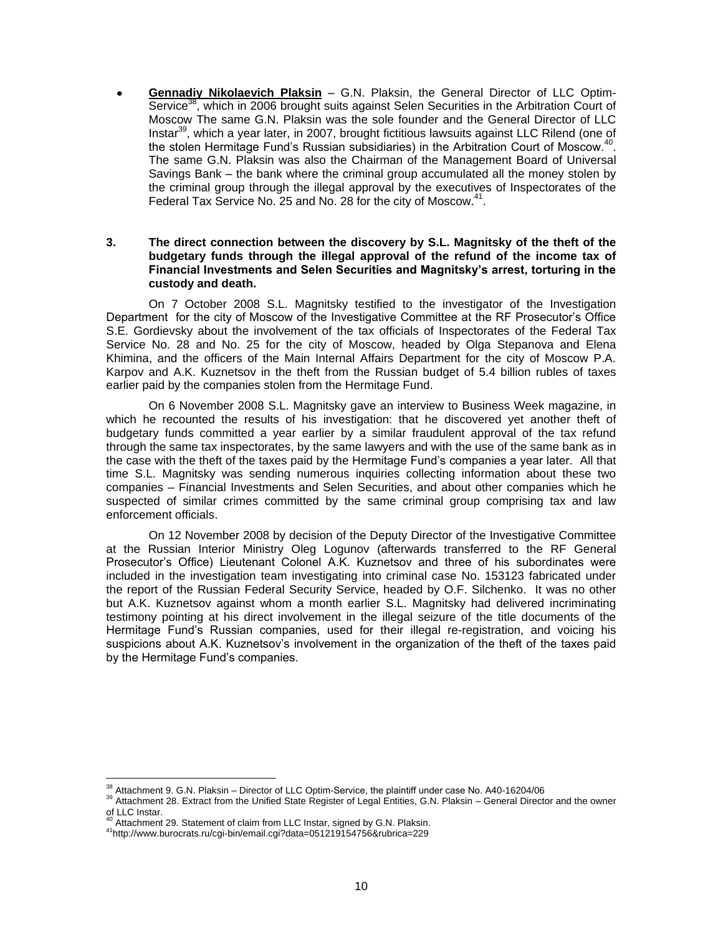**Gennadiy Nikolaevich Plaksin** – G.N. Plaksin, the General Director of LLC Optim-Service<sup>38</sup>, which in 2006 brought suits against Selen Securities in the Arbitration Court of Moscow The same G.N. Plaksin was the sole founder and the General Director of LLC Instar<sup>39</sup>, which a year later, in 2007, brought fictitious lawsuits against LLC Rilend (one of the stolen Hermitage Fund's Russian subsidiaries) in the Arbitration Court of Moscow.<sup>40</sup>. The same G.N. Plaksin was also the Chairman of the Management Board of Universal Savings Bank – the bank where the criminal group accumulated all the money stolen by the criminal group through the illegal approval by the executives of Inspectorates of the Federal Tax Service No. 25 and No. 28 for the city of Moscow.<sup>41</sup>.

# **3. The direct connection between the discovery by S.L. Magnitsky of the theft of the budgetary funds through the illegal approval of the refund of the income tax of Financial Investments and Selen Securities and Magnitsky's arrest, torturing in the custody and death.**

On 7 October 2008 S.L. Magnitsky testified to the investigator of the Investigation Department for the city of Moscow of the Investigative Committee at the RF Prosecutor's Office S.E. Gordievsky about the involvement of the tax officials of Inspectorates of the Federal Tax Service No. 28 and No. 25 for the city of Moscow, headed by Olga Stepanova and Elena Khimina, and the officers of the Main Internal Affairs Department for the city of Moscow P.A. Karpov and A.K. Kuznetsov in the theft from the Russian budget of 5.4 billion rubles of taxes earlier paid by the companies stolen from the Hermitage Fund.

On 6 November 2008 S.L. Magnitsky gave an interview to Business Week magazine, in which he recounted the results of his investigation: that he discovered yet another theft of budgetary funds committed a year earlier by a similar fraudulent approval of the tax refund through the same tax inspectorates, by the same lawyers and with the use of the same bank as in the case with the theft of the taxes paid by the Hermitage Fund's companies a year later. All that time S.L. Magnitsky was sending numerous inquiries collecting information about these two companies – Financial Investments and Selen Securities, and about other companies which he suspected of similar crimes committed by the same criminal group comprising tax and law enforcement officials.

On 12 November 2008 by decision of the Deputy Director of the Investigative Committee at the Russian Interior Ministry Oleg Logunov (afterwards transferred to the RF General Prosecutor's Office) Lieutenant Colonel A.K. Kuznetsov and three of his subordinates were included in the investigation team investigating into criminal case No. 153123 fabricated under the report of the Russian Federal Security Service, headed by O.F. Silchenko. It was no other but A.K. Kuznetsov against whom a month earlier S.L. Magnitsky had delivered incriminating testimony pointing at his direct involvement in the illegal seizure of the title documents of the Hermitage Fund's Russian companies, used for their illegal re-registration, and voicing his suspicions about A.K. Kuznetsov's involvement in the organization of the theft of the taxes paid by the Hermitage Fund's companies.

 $^{38}$  Attachment 9. G.N. Plaksin – Director of LLC Optim-Service, the plaintiff under case No. A40-16204/06

<sup>&</sup>lt;sup>39</sup> Attachment 28. Extract from the Unified State Register of Legal Entities, G.N. Plaksin – General Director and the owner  $\frac{1}{20}$  LLC Instar.

Attachment 29. Statement of claim from LLC Instar, signed by G.N. Plaksin.

<sup>41</sup>http://www.burocrats.ru/cgi-bin/email.cgi?data=051219154756&rubrica=229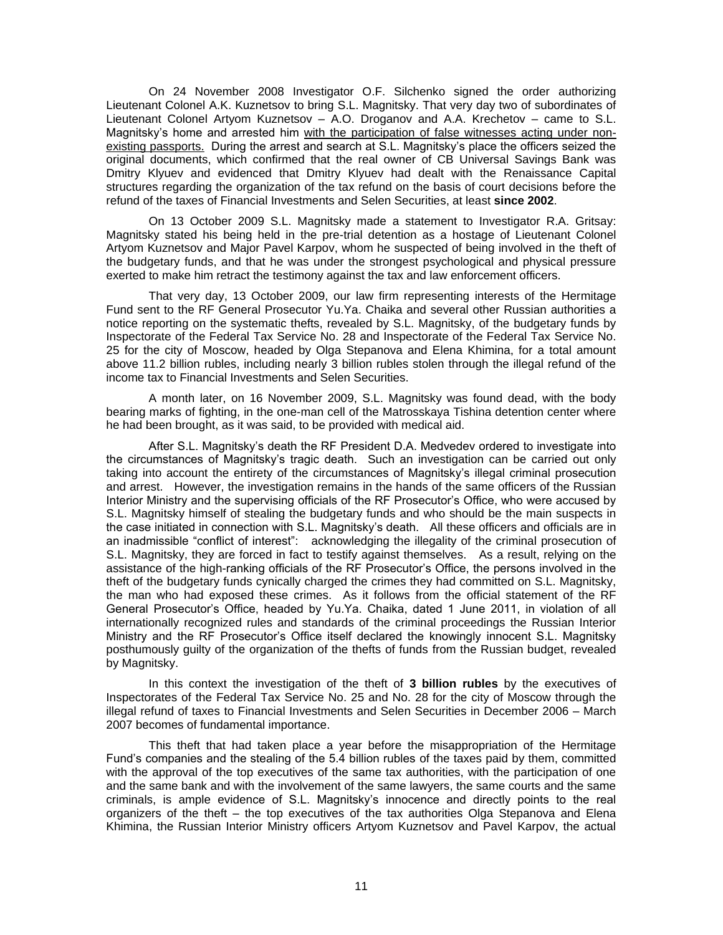On 24 November 2008 Investigator O.F. Silchenko signed the order authorizing Lieutenant Colonel A.K. Kuznetsov to bring S.L. Magnitsky. That very day two of subordinates of Lieutenant Colonel Artyom Kuznetsov – A.O. Droganov and A.A. Krechetov – came to S.L. Magnitsky's home and arrested him with the participation of false witnesses acting under nonexisting passports. During the arrest and search at S.L. Magnitsky's place the officers seized the original documents, which confirmed that the real owner of CB Universal Savings Bank was Dmitry Klyuev and evidenced that Dmitry Klyuev had dealt with the Renaissance Capital structures regarding the organization of the tax refund on the basis of court decisions before the refund of the taxes of Financial Investments and Selen Securities, at least **since 2002**.

On 13 October 2009 S.L. Magnitsky made a statement to Investigator R.A. Gritsay: Magnitsky stated his being held in the pre-trial detention as a hostage of Lieutenant Colonel Artyom Kuznetsov and Major Pavel Karpov, whom he suspected of being involved in the theft of the budgetary funds, and that he was under the strongest psychological and physical pressure exerted to make him retract the testimony against the tax and law enforcement officers.

That very day, 13 October 2009, our law firm representing interests of the Hermitage Fund sent to the RF General Prosecutor Yu.Ya. Chaika and several other Russian authorities a notice reporting on the systematic thefts, revealed by S.L. Magnitsky, of the budgetary funds by Inspectorate of the Federal Tax Service No. 28 and Inspectorate of the Federal Tax Service No. 25 for the city of Moscow, headed by Olga Stepanova and Elena Khimina, for a total amount above 11.2 billion rubles, including nearly 3 billion rubles stolen through the illegal refund of the income tax to Financial Investments and Selen Securities.

A month later, on 16 November 2009, S.L. Magnitsky was found dead, with the body bearing marks of fighting, in the one-man cell of the Matrosskaya Tishina detention center where he had been brought, as it was said, to be provided with medical aid.

After S.L. Magnitsky's death the RF President D.A. Medvedev ordered to investigate into the circumstances of Magnitsky's tragic death. Such an investigation can be carried out only taking into account the entirety of the circumstances of Magnitsky's illegal criminal prosecution and arrest. However, the investigation remains in the hands of the same officers of the Russian Interior Ministry and the supervising officials of the RF Prosecutor's Office, who were accused by S.L. Magnitsky himself of stealing the budgetary funds and who should be the main suspects in the case initiated in connection with S.L. Magnitsky's death. All these officers and officials are in an inadmissible "conflict of interest": acknowledging the illegality of the criminal prosecution of S.L. Magnitsky, they are forced in fact to testify against themselves. As a result, relying on the assistance of the high-ranking officials of the RF Prosecutor's Office, the persons involved in the theft of the budgetary funds cynically charged the crimes they had committed on S.L. Magnitsky, the man who had exposed these crimes. As it follows from the official statement of the RF General Prosecutor's Office, headed by Yu.Ya. Chaika, dated 1 June 2011, in violation of all internationally recognized rules and standards of the criminal proceedings the Russian Interior Ministry and the RF Prosecutor's Office itself declared the knowingly innocent S.L. Magnitsky posthumously guilty of the organization of the thefts of funds from the Russian budget, revealed by Magnitsky.

In this context the investigation of the theft of **3 billion rubles** by the executives of Inspectorates of the Federal Tax Service No. 25 and No. 28 for the city of Moscow through the illegal refund of taxes to Financial Investments and Selen Securities in December 2006 – March 2007 becomes of fundamental importance.

This theft that had taken place a year before the misappropriation of the Hermitage Fund's companies and the stealing of the 5.4 billion rubles of the taxes paid by them, committed with the approval of the top executives of the same tax authorities, with the participation of one and the same bank and with the involvement of the same lawyers, the same courts and the same criminals, is ample evidence of S.L. Magnitsky's innocence and directly points to the real organizers of the theft – the top executives of the tax authorities Olga Stepanova and Elena Khimina, the Russian Interior Ministry officers Artyom Kuznetsov and Pavel Karpov, the actual